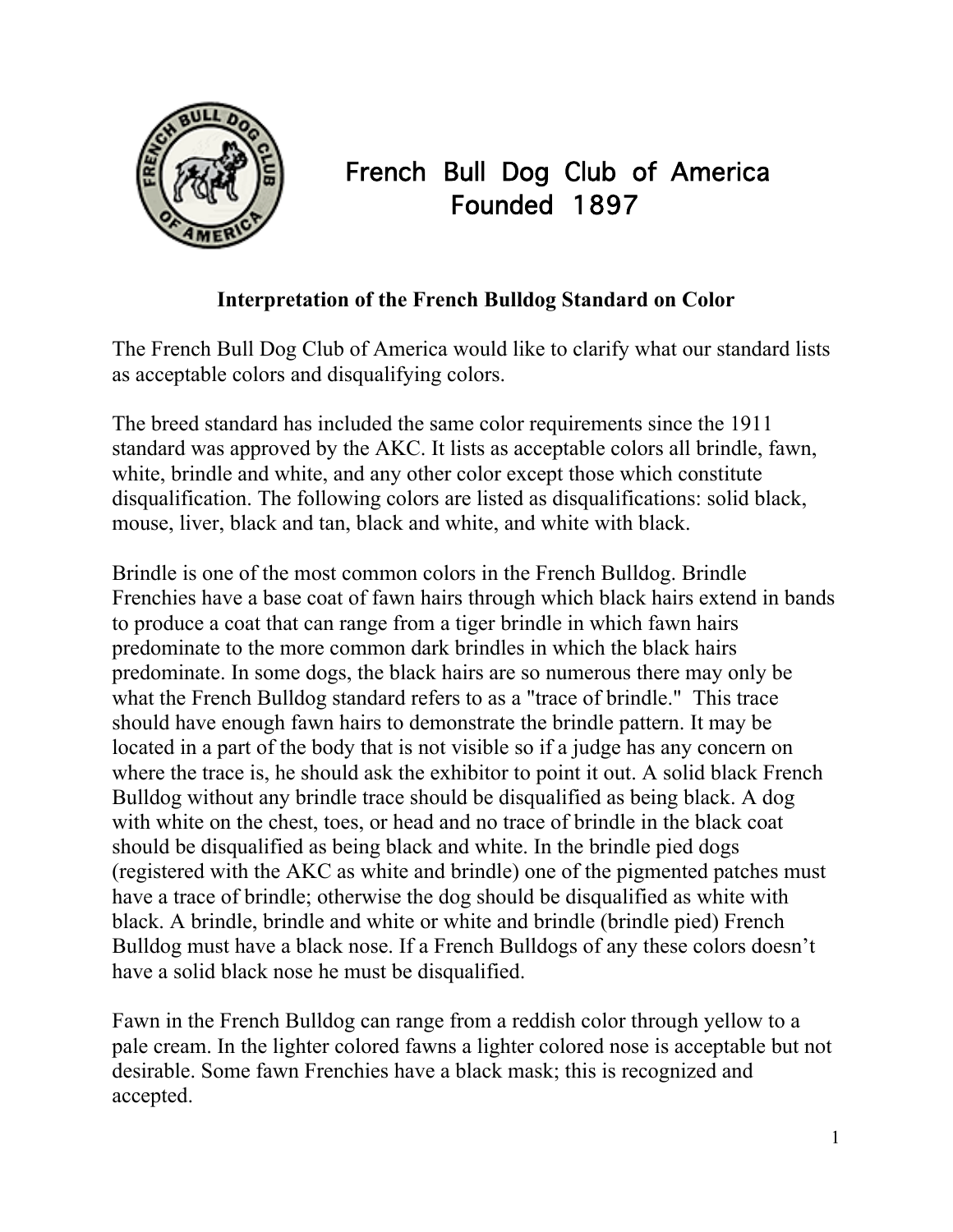

## French Bull Dog Club of America Founded 1897

## **Interpretation of the French Bulldog Standard on Color**

The French Bull Dog Club of America would like to clarify what our standard lists as acceptable colors and disqualifying colors.

The breed standard has included the same color requirements since the 1911 standard was approved by the AKC. It lists as acceptable colors all brindle, fawn, white, brindle and white, and any other color except those which constitute disqualification. The following colors are listed as disqualifications: solid black, mouse, liver, black and tan, black and white, and white with black.

Brindle is one of the most common colors in the French Bulldog. Brindle Frenchies have a base coat of fawn hairs through which black hairs extend in bands to produce a coat that can range from a tiger brindle in which fawn hairs predominate to the more common dark brindles in which the black hairs predominate. In some dogs, the black hairs are so numerous there may only be what the French Bulldog standard refers to as a "trace of brindle." This trace should have enough fawn hairs to demonstrate the brindle pattern. It may be located in a part of the body that is not visible so if a judge has any concern on where the trace is, he should ask the exhibitor to point it out. A solid black French Bulldog without any brindle trace should be disqualified as being black. A dog with white on the chest, toes, or head and no trace of brindle in the black coat should be disqualified as being black and white. In the brindle pied dogs (registered with the AKC as white and brindle) one of the pigmented patches must have a trace of brindle; otherwise the dog should be disqualified as white with black. A brindle, brindle and white or white and brindle (brindle pied) French Bulldog must have a black nose. If a French Bulldogs of any these colors doesn't have a solid black nose he must be disqualified.

Fawn in the French Bulldog can range from a reddish color through yellow to a pale cream. In the lighter colored fawns a lighter colored nose is acceptable but not desirable. Some fawn Frenchies have a black mask; this is recognized and accepted.